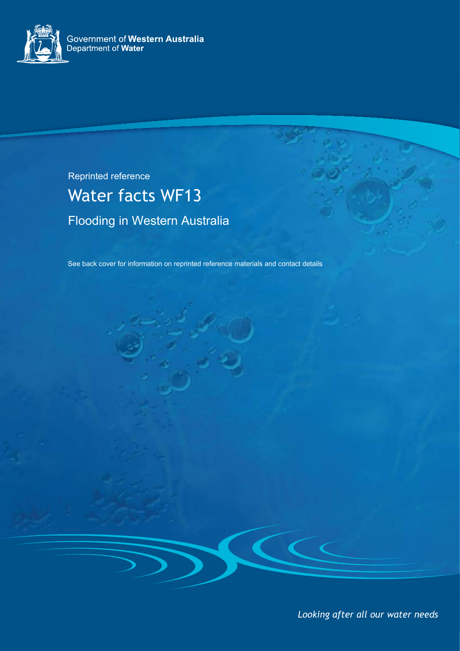

Reprinted reference

# Water facts WF13 Flooding in Western Australia

See back cover for information on reprinted reference materials and contact details

*Looking after all our water needs*

 $\epsilon$   $\epsilon$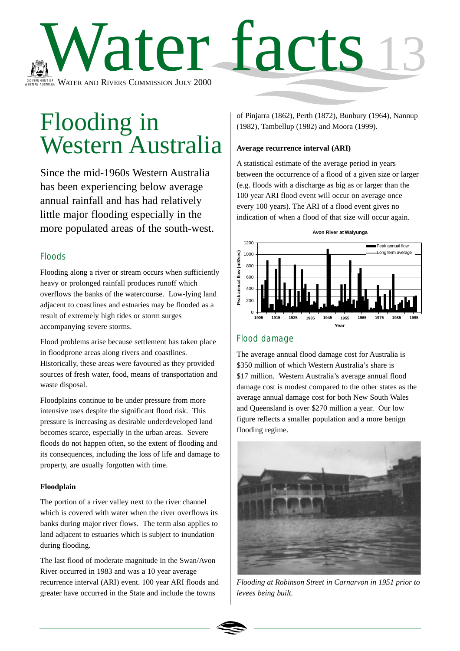

# Flooding in Western Australia

Since the mid-1960s Western Australia has been experiencing below average annual rainfall and has had relatively little major flooding especially in the more populated areas of the south-west.

## Floods

Flooding along a river or stream occurs when sufficiently heavy or prolonged rainfall produces runoff which overflows the banks of the watercourse. Low-lying land adjacent to coastlines and estuaries may be flooded as a result of extremely high tides or storm surges accompanying severe storms.

Flood problems arise because settlement has taken place in floodprone areas along rivers and coastlines. Historically, these areas were favoured as they provided sources of fresh water, food, means of transportation and waste disposal.

Floodplains continue to be under pressure from more intensive uses despite the significant flood risk. This pressure is increasing as desirable underdeveloped land becomes scarce, especially in the urban areas. Severe floods do not happen often, so the extent of flooding and its consequences, including the loss of life and damage to property, are usually forgotten with time.

#### **Floodplain**

The portion of a river valley next to the river channel which is covered with water when the river overflows its banks during major river flows. The term also applies to land adjacent to estuaries which is subject to inundation during flooding.

The last flood of moderate magnitude in the Swan/Avon River occurred in 1983 and was a 10 year average recurrence interval (ARI) event. 100 year ARI floods and greater have occurred in the State and include the towns

of Pinjarra (1862), Perth (1872), Bunbury (1964), Nannup (1982), Tambellup (1982) and Moora (1999).

#### **Average recurrence interval (ARI)**

A statistical estimate of the average period in years between the occurrence of a flood of a given size or larger (e.g. floods with a discharge as big as or larger than the 100 year ARI flood event will occur on average once every 100 years). The ARI of a flood event gives no indication of when a flood of that size will occur again.



# Flood damage

The average annual flood damage cost for Australia is \$350 million of which Western Australia's share is \$17 million. Western Australia's average annual flood damage cost is modest compared to the other states as the average annual damage cost for both New South Wales and Queensland is over \$270 million a year. Our low figure reflects a smaller population and a more benign flooding regime.



*Flooding at Robinson Street in Carnarvon in 1951 prior to levees being built.*

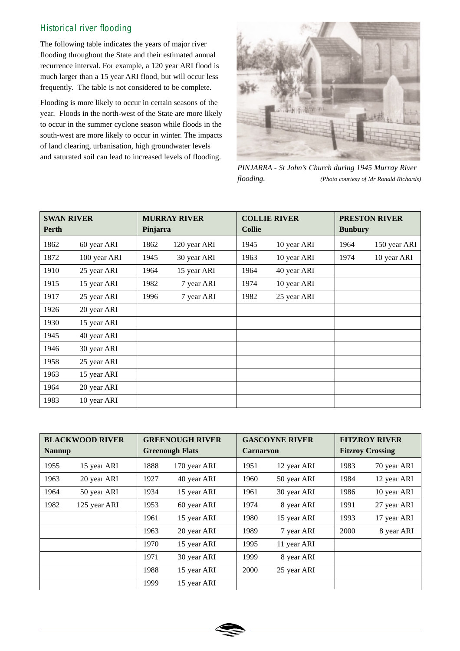## Historical river flooding

The following table indicates the years of major river flooding throughout the State and their estimated annual recurrence interval. For example, a 120 year ARI flood is much larger than a 15 year ARI flood, but will occur less frequently. The table is not considered to be complete.

Flooding is more likely to occur in certain seasons of the year. Floods in the north-west of the State are more likely to occur in the summer cyclone season while floods in the south-west are more likely to occur in winter. The impacts of land clearing, urbanisation, high groundwater levels and saturated soil can lead to increased levels of flooding.



*PINJARRA - St John's Church during 1945 Murray River flooding. (Photo courtesy of Mr Ronald Richards)*

| <b>SWAN RIVER</b> |              | <b>MURRAY RIVER</b> |              | <b>COLLIE RIVER</b> |             | <b>PRESTON RIVER</b> |              |
|-------------------|--------------|---------------------|--------------|---------------------|-------------|----------------------|--------------|
| <b>Perth</b>      |              | Pinjarra            |              | <b>Collie</b>       |             | <b>Bunbury</b>       |              |
| 1862              | 60 year ARI  | 1862                | 120 year ARI | 1945                | 10 year ARI | 1964                 | 150 year ARI |
| 1872              | 100 year ARI | 1945                | 30 year ARI  | 1963                | 10 year ARI | 1974                 | 10 year ARI  |
| 1910              | 25 year ARI  | 1964                | 15 year ARI  | 1964                | 40 year ARI |                      |              |
| 1915              | 15 year ARI  | 1982                | 7 year ARI   | 1974                | 10 year ARI |                      |              |
| 1917              | 25 year ARI  | 1996                | 7 year ARI   | 1982                | 25 year ARI |                      |              |
| 1926              | 20 year ARI  |                     |              |                     |             |                      |              |
| 1930              | 15 year ARI  |                     |              |                     |             |                      |              |
| 1945              | 40 year ARI  |                     |              |                     |             |                      |              |
| 1946              | 30 year ARI  |                     |              |                     |             |                      |              |
| 1958              | 25 year ARI  |                     |              |                     |             |                      |              |
| 1963              | 15 year ARI  |                     |              |                     |             |                      |              |
| 1964              | 20 year ARI  |                     |              |                     |             |                      |              |
| 1983              | 10 year ARI  |                     |              |                     |             |                      |              |

| <b>BLACKWOOD RIVER</b><br><b>Nannup</b> |              | <b>GREENOUGH RIVER</b><br><b>Greenough Flats</b> |              | <b>GASCOYNE RIVER</b><br><b>Carnaryon</b> |             | <b>FITZROY RIVER</b><br><b>Fitzroy Crossing</b> |             |
|-----------------------------------------|--------------|--------------------------------------------------|--------------|-------------------------------------------|-------------|-------------------------------------------------|-------------|
| 1955                                    | 15 year ARI  | 1888                                             | 170 year ARI | 1951                                      | 12 year ARI | 1983                                            | 70 year ARI |
| 1963                                    | 20 year ARI  | 1927                                             | 40 year ARI  | 1960                                      | 50 year ARI | 1984                                            | 12 year ARI |
| 1964                                    | 50 year ARI  | 1934                                             | 15 year ARI  | 1961                                      | 30 year ARI | 1986                                            | 10 year ARI |
| 1982                                    | 125 year ARI | 1953                                             | 60 year ARI  | 1974                                      | 8 year ARI  | 1991                                            | 27 year ARI |
|                                         |              | 1961                                             | 15 year ARI  | 1980                                      | 15 year ARI | 1993                                            | 17 year ARI |
|                                         |              | 1963                                             | 20 year ARI  | 1989                                      | 7 year ARI  | 2000                                            | 8 year ARI  |
|                                         |              | 1970                                             | 15 year ARI  | 1995                                      | 11 year ARI |                                                 |             |
|                                         |              | 1971                                             | 30 year ARI  | 1999                                      | 8 year ARI  |                                                 |             |
|                                         |              | 1988                                             | 15 year ARI  | 2000                                      | 25 year ARI |                                                 |             |
|                                         |              | 1999                                             | 15 year ARI  |                                           |             |                                                 |             |

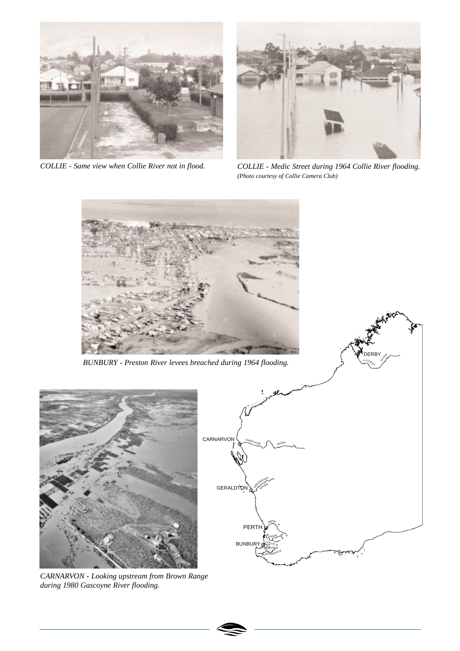

*COLLIE - Same view when Collie River not in flood.*



*COLLIE - Medic Street during 1964 Collie River flooding. (Photo courtesy of Collie Camera Club)*

DERBY

RIVER<br>RIVER

 $T_{\gamma}^{\rm F1TZ}$ 



*BUNBURY - Preston River levees breached during 1964 flooding.*



*CARNARVON - Looking upstream from Brown Range during 1980 Gascoyne River flooding.*



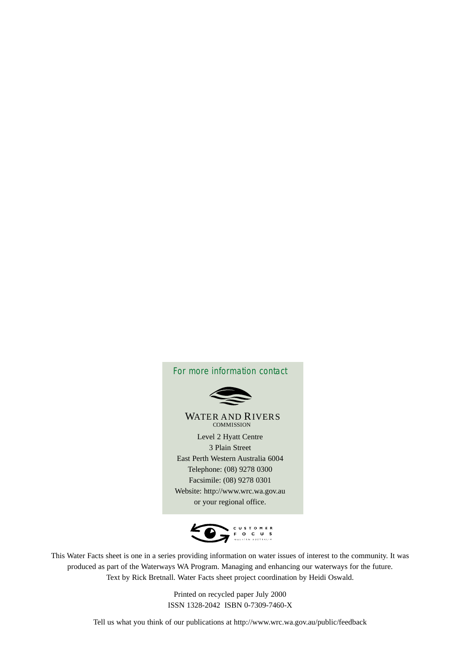



This Water Facts sheet is one in a series providing information on water issues of interest to the community. It was produced as part of the Waterways WA Program. Managing and enhancing our waterways for the future. Text by Rick Bretnall. Water Facts sheet project coordination by Heidi Oswald.

> Printed on recycled paper July 2000 ISSN 1328-2042 ISBN 0-7309-7460-X

Tell us what you think of our publications at http://www.wrc.wa.gov.au/public/feedback